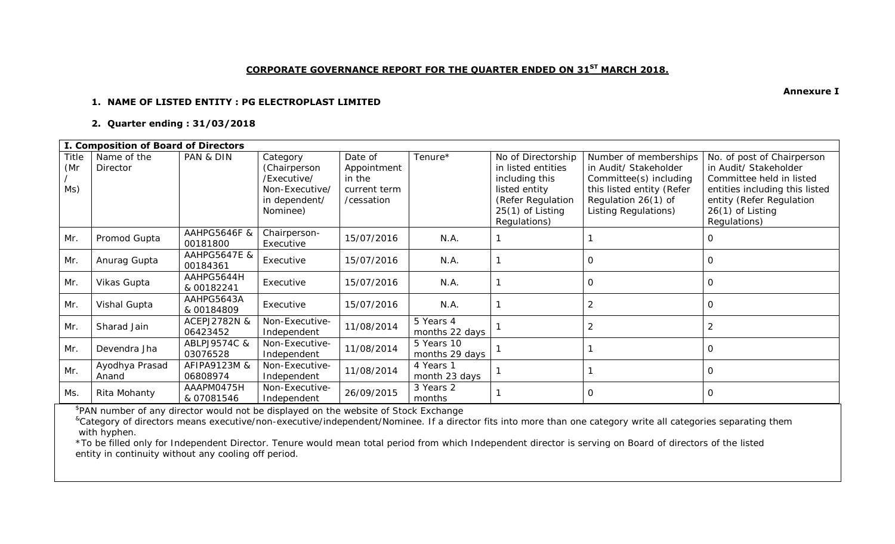## **CORPORATE GOVERNANCE REPORT FOR THE QUARTER ENDED ON 31ST MARCH 2018.**

#### **1. NAME OF LISTED ENTITY : PG ELECTROPLAST LIMITED**

### **2. Quarter ending : 31/03/2018**

|                     | I. Composition of Board of Directors |                                     |                                                                                        |                                                                |                              |                                                                                                                                        |                                                                                                                                                      |                                                                                                                                                                                     |  |
|---------------------|--------------------------------------|-------------------------------------|----------------------------------------------------------------------------------------|----------------------------------------------------------------|------------------------------|----------------------------------------------------------------------------------------------------------------------------------------|------------------------------------------------------------------------------------------------------------------------------------------------------|-------------------------------------------------------------------------------------------------------------------------------------------------------------------------------------|--|
| Title<br>(Mr<br>Ms) | Name of the<br>Director              | PAN & DIN                           | Category<br>(Chairperson<br>/Executive/<br>Non-Executive/<br>in dependent/<br>Nominee) | Date of<br>Appointment<br>in the<br>current term<br>/cessation | Tenure*                      | No of Directorship<br>in listed entities<br>including this<br>listed entity<br>(Refer Regulation<br>$25(1)$ of Listing<br>Regulations) | Number of memberships<br>in Audit/ Stakeholder<br>Committee(s) including<br>this listed entity (Refer<br>Regulation 26(1) of<br>Listing Regulations) | No. of post of Chairperson<br>in Audit/ Stakeholder<br>Committee held in listed<br>entities including this listed<br>entity (Refer Regulation<br>$26(1)$ of Listing<br>Regulations) |  |
| Mr.                 | Promod Gupta                         | AAHPG5646F &<br>00181800            | Chairperson-<br>Executive                                                              | 15/07/2016                                                     | N.A.                         |                                                                                                                                        |                                                                                                                                                      | $\bigcap$                                                                                                                                                                           |  |
| Mr.                 | Anurag Gupta                         | <b>AAHPG5647E &amp;</b><br>00184361 | Executive                                                                              | 15/07/2016                                                     | N.A.                         |                                                                                                                                        |                                                                                                                                                      | $\bigcap$                                                                                                                                                                           |  |
| Mr.                 | Vikas Gupta                          | AAHPG5644H<br>& 00182241            | Executive                                                                              | 15/07/2016                                                     | N.A.                         |                                                                                                                                        |                                                                                                                                                      | $\Omega$                                                                                                                                                                            |  |
| Mr.                 | Vishal Gupta                         | AAHPG5643A<br>& 00184809            | Executive                                                                              | 15/07/2016                                                     | N.A.                         |                                                                                                                                        |                                                                                                                                                      | $\bigcap$                                                                                                                                                                           |  |
| Mr.                 | Sharad Jain                          | ACEPJ2782N &<br>06423452            | Non-Executive-<br>Independent                                                          | 11/08/2014                                                     | 5 Years 4<br>months 22 days  |                                                                                                                                        |                                                                                                                                                      | $\overline{2}$                                                                                                                                                                      |  |
| Mr.                 | Devendra Jha                         | ABLPJ9574C &<br>03076528            | Non-Executive-<br>Independent                                                          | 11/08/2014                                                     | 5 Years 10<br>months 29 days |                                                                                                                                        |                                                                                                                                                      |                                                                                                                                                                                     |  |
| Mr.                 | Ayodhya Prasad<br>Anand              | AFIPA9123M &<br>06808974            | Non-Executive-<br>Independent                                                          | 11/08/2014                                                     | 4 Years 1<br>month 23 days   |                                                                                                                                        |                                                                                                                                                      | $\Omega$                                                                                                                                                                            |  |
| Ms.                 | Rita Mohanty                         | AAAPM0475H<br>& 07081546            | Non-Executive-<br>Independent                                                          | 26/09/2015                                                     | 3 Years 2<br>months          |                                                                                                                                        |                                                                                                                                                      | $\Omega$                                                                                                                                                                            |  |

\$ PAN number of any director would not be displayed on the website of Stock Exchange

<sup>&</sup>Category of directors means executive/non-executive/independent/Nominee. If a director fits into more than one category write all categories separating them with hyphen.

\*To be filled only for Independent Director. Tenure would mean total period from which Independent director is serving on Board of directors of the listed entity in continuity without any cooling off period.

**Annexure I**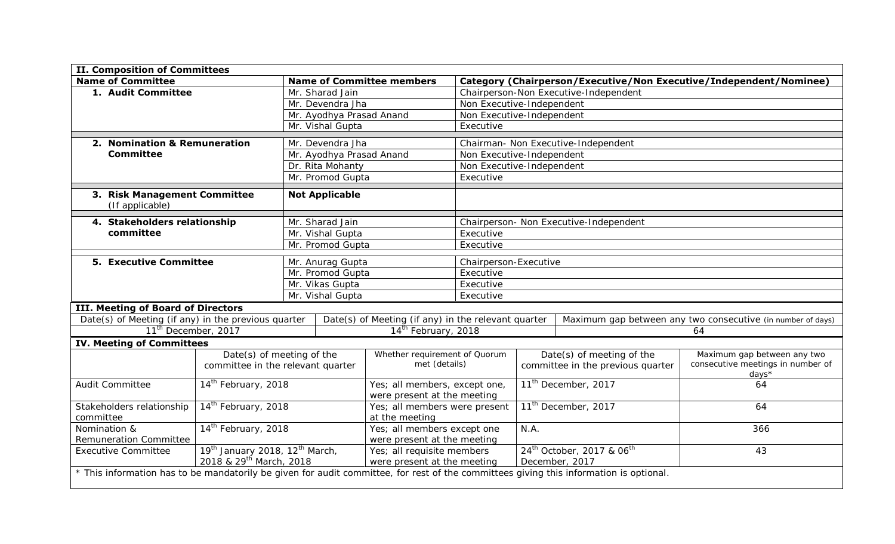| <b>II. Composition of Committees</b>                                                                                                   |                          |                                 |                                                     |                                     |                                 |                                                   |                                                                    |  |
|----------------------------------------------------------------------------------------------------------------------------------------|--------------------------|---------------------------------|-----------------------------------------------------|-------------------------------------|---------------------------------|---------------------------------------------------|--------------------------------------------------------------------|--|
| <b>Name of Committee</b>                                                                                                               |                          |                                 | <b>Name of Committee members</b>                    |                                     |                                 |                                                   | Category (Chairperson/Executive/Non Executive/Independent/Nominee) |  |
| 1. Audit Committee                                                                                                                     | Mr. Sharad Jain          |                                 |                                                     |                                     |                                 | Chairperson-Non Executive-Independent             |                                                                    |  |
|                                                                                                                                        | Mr. Devendra Jha         |                                 |                                                     | Non Executive-Independent           |                                 |                                                   |                                                                    |  |
|                                                                                                                                        | Mr. Ayodhya Prasad Anand |                                 | Non Executive-Independent                           |                                     |                                 |                                                   |                                                                    |  |
|                                                                                                                                        |                          | Mr. Vishal Gupta                |                                                     | Executive                           |                                 |                                                   |                                                                    |  |
| 2. Nomination & Remuneration                                                                                                           |                          | Mr. Devendra Jha                |                                                     | Chairman- Non Executive-Independent |                                 |                                                   |                                                                    |  |
| <b>Committee</b>                                                                                                                       |                          | Mr. Ayodhya Prasad Anand        |                                                     | Non Executive-Independent           |                                 |                                                   |                                                                    |  |
|                                                                                                                                        |                          | Dr. Rita Mohanty                |                                                     | Non Executive-Independent           |                                 |                                                   |                                                                    |  |
|                                                                                                                                        |                          | Mr. Promod Gupta                |                                                     | Executive                           |                                 |                                                   |                                                                    |  |
|                                                                                                                                        |                          |                                 |                                                     |                                     |                                 |                                                   |                                                                    |  |
| 3. Risk Management Committee<br>(If applicable)                                                                                        |                          | <b>Not Applicable</b>           |                                                     |                                     |                                 |                                                   |                                                                    |  |
| 4. Stakeholders relationship                                                                                                           |                          | Mr. Sharad Jain                 |                                                     |                                     |                                 | Chairperson- Non Executive-Independent            |                                                                    |  |
| committee                                                                                                                              |                          | Mr. Vishal Gupta                |                                                     | Executive                           |                                 |                                                   |                                                                    |  |
|                                                                                                                                        |                          | Mr. Promod Gupta                |                                                     | Executive                           |                                 |                                                   |                                                                    |  |
| <b>5. Executive Committee</b>                                                                                                          |                          | Mr. Anurag Gupta                |                                                     | Chairperson-Executive               |                                 |                                                   |                                                                    |  |
|                                                                                                                                        |                          | Mr. Promod Gupta                |                                                     | Executive                           |                                 |                                                   |                                                                    |  |
|                                                                                                                                        |                          | Mr. Vikas Gupta                 |                                                     | Executive                           |                                 |                                                   |                                                                    |  |
|                                                                                                                                        |                          | Mr. Vishal Gupta                |                                                     | Executive                           |                                 |                                                   |                                                                    |  |
| <b>III. Meeting of Board of Directors</b>                                                                                              |                          |                                 |                                                     |                                     |                                 |                                                   |                                                                    |  |
| Date(s) of Meeting (if any) in the previous quarter                                                                                    |                          |                                 | Date(s) of Meeting (if any) in the relevant quarter |                                     |                                 |                                                   | Maximum gap between any two consecutive (in number of days)        |  |
| 11 <sup>th</sup> December, 2017                                                                                                        |                          | 14 <sup>th</sup> February, 2018 |                                                     |                                     |                                 |                                                   | 64                                                                 |  |
| <b>IV. Meeting of Committees</b>                                                                                                       |                          |                                 |                                                     |                                     |                                 |                                                   |                                                                    |  |
| Date(s) of meeting of the<br>committee in the relevant quarter                                                                         |                          | Whether requirement of Quorum   |                                                     |                                     |                                 | Date(s) of meeting of the                         | Maximum gap between any two                                        |  |
|                                                                                                                                        |                          |                                 | met (details)                                       |                                     |                                 | committee in the previous quarter                 | consecutive meetings in number of<br>days*                         |  |
| 14 <sup>th</sup> February, 2018<br>Audit Committee                                                                                     |                          |                                 | Yes; all members, except one,                       |                                     | 11 <sup>th</sup> December, 2017 |                                                   | 64                                                                 |  |
|                                                                                                                                        |                          |                                 | were present at the meeting                         |                                     |                                 |                                                   |                                                                    |  |
| 14 <sup>th</sup> February, 2018<br>Stakeholders relationship                                                                           |                          |                                 | Yes; all members were present                       |                                     |                                 | 11 <sup>th</sup> December, 2017                   | 64                                                                 |  |
| committee                                                                                                                              |                          |                                 | at the meeting                                      |                                     |                                 |                                                   |                                                                    |  |
| 14 <sup>th</sup> February, 2018<br>Nomination &                                                                                        |                          |                                 | Yes; all members except one                         | N.A.                                |                                 |                                                   | 366                                                                |  |
| Remuneration Committee                                                                                                                 |                          |                                 | were present at the meeting                         |                                     |                                 |                                                   |                                                                    |  |
| 19 <sup>th</sup> January 2018, 12 <sup>th</sup> March,<br><b>Executive Committee</b>                                                   |                          |                                 | Yes; all requisite members                          |                                     |                                 | 24 <sup>th</sup> October, 2017 & 06 <sup>th</sup> | 43                                                                 |  |
| 2018 & 29 <sup>th</sup> March, 2018                                                                                                    |                          |                                 | were present at the meeting                         |                                     | December, 2017                  |                                                   |                                                                    |  |
| * This information has to be mandatorily be given for audit committee, for rest of the committees giving this information is optional. |                          |                                 |                                                     |                                     |                                 |                                                   |                                                                    |  |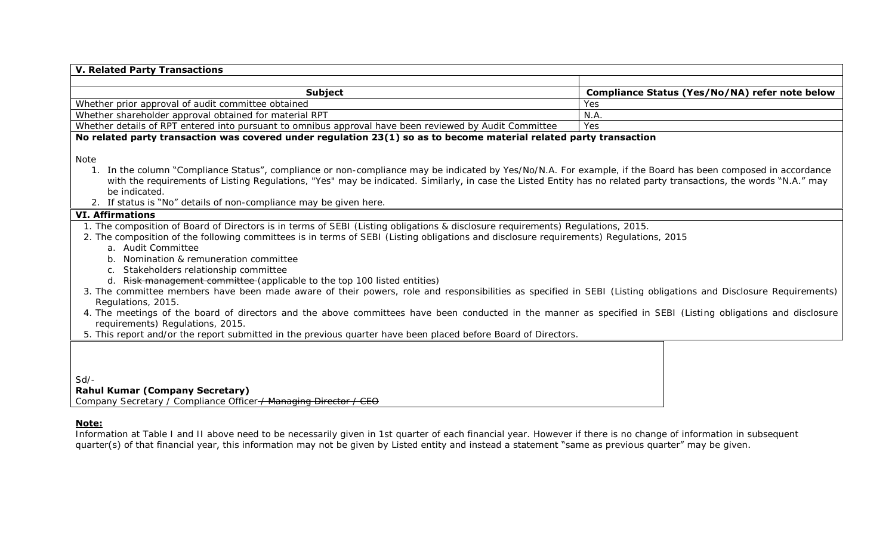| <b>Subject</b><br>Whether prior approval of audit committee obtained<br>Yes<br>N.A.<br>Whether shareholder approval obtained for material RPT<br>Yes<br>Whether details of RPT entered into pursuant to omnibus approval have been reviewed by Audit Committee<br>No related party transaction was covered under regulation 23(1) so as to become material related party transaction<br>Note<br>In the column "Compliance Status", compliance or non-compliance may be indicated by Yes/No/N.A. For example, if the Board has been composed in accordance<br>with the requirements of Listing Regulations, "Yes" may be indicated. Similarly, in case the Listed Entity has no related party transactions, the words "N.A." may<br>be indicated.<br>2. If status is "No" details of non-compliance may be given here.<br><b>VI. Affirmations</b><br>1. The composition of Board of Directors is in terms of SEBI (Listing obligations & disclosure requirements) Regulations, 2015.<br>2. The composition of the following committees is in terms of SEBI (Listing obligations and disclosure requirements) Regulations, 2015<br>a. Audit Committee<br>Nomination & remuneration committee<br>Stakeholders relationship committee<br>$C_{1}$ | Compliance Status (Yes/No/NA) refer note below |
|----------------------------------------------------------------------------------------------------------------------------------------------------------------------------------------------------------------------------------------------------------------------------------------------------------------------------------------------------------------------------------------------------------------------------------------------------------------------------------------------------------------------------------------------------------------------------------------------------------------------------------------------------------------------------------------------------------------------------------------------------------------------------------------------------------------------------------------------------------------------------------------------------------------------------------------------------------------------------------------------------------------------------------------------------------------------------------------------------------------------------------------------------------------------------------------------------------------------------------------------|------------------------------------------------|
|                                                                                                                                                                                                                                                                                                                                                                                                                                                                                                                                                                                                                                                                                                                                                                                                                                                                                                                                                                                                                                                                                                                                                                                                                                              |                                                |
|                                                                                                                                                                                                                                                                                                                                                                                                                                                                                                                                                                                                                                                                                                                                                                                                                                                                                                                                                                                                                                                                                                                                                                                                                                              |                                                |
|                                                                                                                                                                                                                                                                                                                                                                                                                                                                                                                                                                                                                                                                                                                                                                                                                                                                                                                                                                                                                                                                                                                                                                                                                                              |                                                |
|                                                                                                                                                                                                                                                                                                                                                                                                                                                                                                                                                                                                                                                                                                                                                                                                                                                                                                                                                                                                                                                                                                                                                                                                                                              |                                                |
|                                                                                                                                                                                                                                                                                                                                                                                                                                                                                                                                                                                                                                                                                                                                                                                                                                                                                                                                                                                                                                                                                                                                                                                                                                              |                                                |
|                                                                                                                                                                                                                                                                                                                                                                                                                                                                                                                                                                                                                                                                                                                                                                                                                                                                                                                                                                                                                                                                                                                                                                                                                                              |                                                |
|                                                                                                                                                                                                                                                                                                                                                                                                                                                                                                                                                                                                                                                                                                                                                                                                                                                                                                                                                                                                                                                                                                                                                                                                                                              |                                                |
|                                                                                                                                                                                                                                                                                                                                                                                                                                                                                                                                                                                                                                                                                                                                                                                                                                                                                                                                                                                                                                                                                                                                                                                                                                              |                                                |
|                                                                                                                                                                                                                                                                                                                                                                                                                                                                                                                                                                                                                                                                                                                                                                                                                                                                                                                                                                                                                                                                                                                                                                                                                                              |                                                |
|                                                                                                                                                                                                                                                                                                                                                                                                                                                                                                                                                                                                                                                                                                                                                                                                                                                                                                                                                                                                                                                                                                                                                                                                                                              |                                                |
|                                                                                                                                                                                                                                                                                                                                                                                                                                                                                                                                                                                                                                                                                                                                                                                                                                                                                                                                                                                                                                                                                                                                                                                                                                              |                                                |
| d. Risk management committee (applicable to the top 100 listed entities)                                                                                                                                                                                                                                                                                                                                                                                                                                                                                                                                                                                                                                                                                                                                                                                                                                                                                                                                                                                                                                                                                                                                                                     |                                                |
| 3. The committee members have been made aware of their powers, role and responsibilities as specified in SEBI (Listing obligations and Disclosure Requirements)<br>Regulations, 2015.                                                                                                                                                                                                                                                                                                                                                                                                                                                                                                                                                                                                                                                                                                                                                                                                                                                                                                                                                                                                                                                        |                                                |
| 4. The meetings of the board of directors and the above committees have been conducted in the manner as specified in SEBI (Listing obligations and disclosure<br>requirements) Regulations, 2015.                                                                                                                                                                                                                                                                                                                                                                                                                                                                                                                                                                                                                                                                                                                                                                                                                                                                                                                                                                                                                                            |                                                |
| 5. This report and/or the report submitted in the previous quarter have been placed before Board of Directors.                                                                                                                                                                                                                                                                                                                                                                                                                                                                                                                                                                                                                                                                                                                                                                                                                                                                                                                                                                                                                                                                                                                               |                                                |

### **Note:**

Information at Table I and II above need to be necessarily given in 1st quarter of each financial year. However if there is no change of information in subsequent quarter(s) of that financial year, this information may not be given by Listed entity and instead a statement "same as previous quarter" may be given.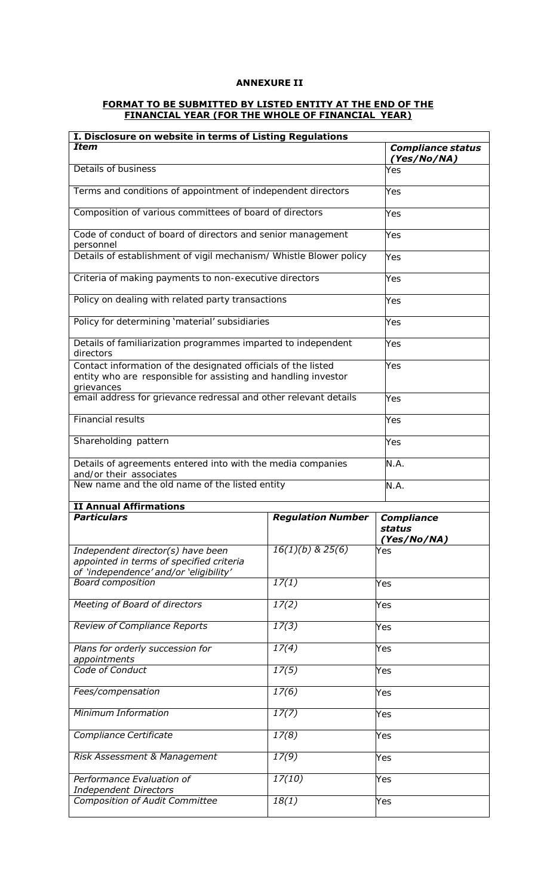# **ANNEXURE II**

### **FORMAT TO BE SUBMITTED BY LISTED ENTITY AT THE END OF THE FINANCIAL YEAR (FOR THE WHOLE OF FINANCIAL YEAR)**

| I. Disclosure on website in terms of Listing Regulations                                                                                      |                          |                                         |
|-----------------------------------------------------------------------------------------------------------------------------------------------|--------------------------|-----------------------------------------|
| <b>Item</b>                                                                                                                                   |                          | <b>Compliance status</b><br>(Yes/No/NA) |
| Details of business                                                                                                                           |                          | Yes                                     |
| Terms and conditions of appointment of independent directors                                                                                  |                          | Yes                                     |
| Composition of various committees of board of directors                                                                                       |                          | Yes                                     |
| Code of conduct of board of directors and senior management<br>personnel                                                                      |                          | Yes                                     |
| Details of establishment of vigil mechanism/ Whistle Blower policy                                                                            |                          | Yes                                     |
| Criteria of making payments to non-executive directors                                                                                        |                          | Yes                                     |
| Policy on dealing with related party transactions                                                                                             |                          | Yes                                     |
| Policy for determining 'material' subsidiaries                                                                                                | Yes                      |                                         |
| Details of familiarization programmes imparted to independent<br>directors                                                                    | Yes                      |                                         |
| Contact information of the designated officials of the listed<br>entity who are responsible for assisting and handling investor<br>grievances |                          | Yes                                     |
| email address for grievance redressal and other relevant details                                                                              | Yes                      |                                         |
| <b>Financial results</b>                                                                                                                      | Yes                      |                                         |
| Shareholding pattern                                                                                                                          | Yes                      |                                         |
| Details of agreements entered into with the media companies                                                                                   |                          | N.A.                                    |
| and/or their associates                                                                                                                       |                          |                                         |
| New name and the old name of the listed entity                                                                                                |                          | N.A.                                    |
| <b>II Annual Affirmations</b>                                                                                                                 |                          |                                         |
| <b>Particulars</b>                                                                                                                            | <b>Regulation Number</b> | <b>Compliance</b><br>status             |
|                                                                                                                                               |                          | (Yes/No/NA)                             |
| Independent director(s) have been<br>appointed in terms of specified criteria<br>of 'independence' and/or 'eligibility'                       | $16(1)(b)$ & 25(6)       | Yes                                     |
| <b>Board composition</b>                                                                                                                      | 17(1)                    | Yes                                     |
| Meeting of Board of directors                                                                                                                 | 17(2)                    | Yes                                     |
| <b>Review of Compliance Reports</b>                                                                                                           | 17(3)                    | Yes                                     |
| Plans for orderly succession for                                                                                                              | 17(4)                    | Yes                                     |
| appointments<br>Code of Conduct                                                                                                               | 17(5)                    | Yes                                     |
| Fees/compensation                                                                                                                             | 17(6)                    | Yes                                     |
| Minimum Information                                                                                                                           | 17(7)                    | Yes                                     |
| Compliance Certificate                                                                                                                        | 17(8)                    | Yes                                     |
| Risk Assessment & Management                                                                                                                  | 17(9)                    | Yes                                     |
| Performance Evaluation of                                                                                                                     | 17(10)                   | Yes                                     |
| <b>Independent Directors</b><br><b>Composition of Audit Committee</b>                                                                         | 18(1)                    |                                         |
|                                                                                                                                               |                          | Yes                                     |